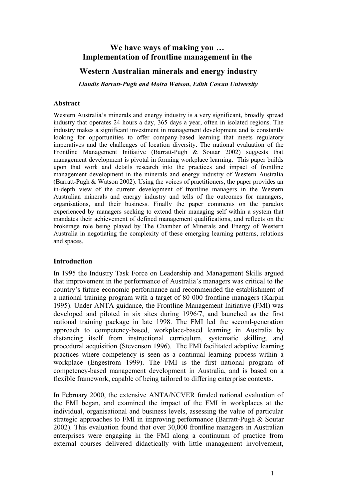# **We have ways of making you … Implementation of frontline management in the**

## **Western Australian minerals and energy industry**

*Llandis Barratt-Pugh and Moira Watson, Edith Cowan University*

## **Abstract**

Western Australia's minerals and energy industry is a very significant, broadly spread industry that operates 24 hours a day, 365 days a year, often in isolated regions. The industry makes a significant investment in management development and is constantly looking for opportunities to offer company-based learning that meets regulatory imperatives and the challenges of location diversity. The national evaluation of the Frontline Management Initiative (Barratt-Pugh & Soutar 2002) suggests that management development is pivotal in forming workplace learning. This paper builds upon that work and details research into the practices and impact of frontline management development in the minerals and energy industry of Western Australia (Barratt-Pugh & Watson 2002). Using the voices of practitioners, the paper provides an in-depth view of the current development of frontline managers in the Western Australian minerals and energy industry and tells of the outcomes for managers, organisations, and their business. Finally the paper comments on the paradox experienced by managers seeking to extend their managing self within a system that mandates their achievement of defined management qualifications, and reflects on the brokerage role being played by The Chamber of Minerals and Energy of Western Australia in negotiating the complexity of these emerging learning patterns, relations and spaces.

## **Introduction**

In 1995 the Industry Task Force on Leadership and Management Skills argued that improvement in the performance of Australia's managers was critical to the country's future economic performance and recommended the establishment of a national training program with a target of 80 000 frontline managers (Karpin 1995). Under ANTA guidance, the Frontline Management Initiative (FMI) was developed and piloted in six sites during 1996/7, and launched as the first national training package in late 1998. The FMI led the second-generation approach to competency-based, workplace-based learning in Australia by distancing itself from instructional curriculum, systematic skilling, and procedural acquisition (Stevenson 1996). The FMI facilitated adaptive learning practices where competency is seen as a continual learning process within a workplace (Engestrom 1999). The FMI is the first national program of competency-based management development in Australia, and is based on a flexible framework, capable of being tailored to differing enterprise contexts.

In February 2000, the extensive ANTA/NCVER funded national evaluation of the FMI began, and examined the impact of the FMI in workplaces at the individual, organisational and business levels, assessing the value of particular strategic approaches to FMI in improving performance (Barratt-Pugh & Soutar 2002). This evaluation found that over 30,000 frontline managers in Australian enterprises were engaging in the FMI along a continuum of practice from external courses delivered didactically with little management involvement,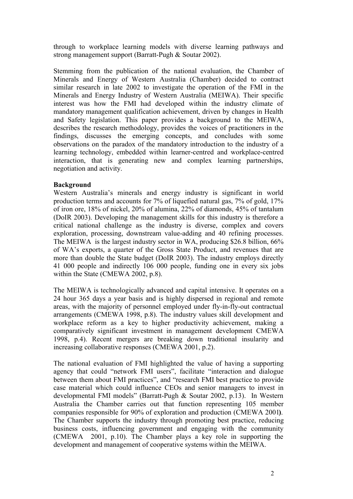through to workplace learning models with diverse learning pathways and strong management support (Barratt-Pugh & Soutar 2002).

Stemming from the publication of the national evaluation, the Chamber of Minerals and Energy of Western Australia (Chamber) decided to contract similar research in late 2002 to investigate the operation of the FMI in the Minerals and Energy Industry of Western Australia (MEIWA). Their specific interest was how the FMI had developed within the industry climate of mandatory management qualification achievement, driven by changes in Health and Safety legislation. This paper provides a background to the MEIWA, describes the research methodology, provides the voices of practitioners in the findings, discusses the emerging concepts, and concludes with some observations on the paradox of the mandatory introduction to the industry of a learning technology, embedded within learner-centred and workplace-centred interaction, that is generating new and complex learning partnerships, negotiation and activity.

## **Background**

Western Australia's minerals and energy industry is significant in world production terms and accounts for 7% of liquefied natural gas, 7% of gold, 17% of iron ore, 18% of nickel, 20% of alumina, 22% of diamonds, 45% of tantalum (DoIR 2003). Developing the management skills for this industry is therefore a critical national challenge as the industry is diverse, complex and covers exploration, processing, downstream value-adding and 40 refining processes. The MEIWA is the largest industry sector in WA, producing \$26.8 billion, 66% of WA's exports, a quarter of the Gross State Product, and revenues that are more than double the State budget (DoIR 2003). The industry employs directly 41 000 people and indirectly 106 000 people, funding one in every six jobs within the State (CMEWA 2002, p.8).

The MEIWA is technologically advanced and capital intensive. It operates on a 24 hour 365 days a year basis and is highly dispersed in regional and remote areas, with the majority of personnel employed under fly-in-fly-out contractual arrangements (CMEWA 1998, p.8). The industry values skill development and workplace reform as a key to higher productivity achievement, making a comparatively significant investment in management development CMEWA 1998, p.4). Recent mergers are breaking down traditional insularity and increasing collaborative responses (CMEWA 2001, p.2).

The national evaluation of FMI highlighted the value of having a supporting agency that could "network FMI users", facilitate "interaction and dialogue between them about FMI practices", and "research FMI best practice to provide case material which could influence CEOs and senior managers to invest in developmental FMI models" (Barratt-Pugh & Soutar 2002, p.13). In Western Australia the Chamber carries out that function representing 105 member companies responsible for 90% of exploration and production (CMEWA 2001**)**. The Chamber supports the industry through promoting best practice, reducing business costs, influencing government and engaging with the community (CMEWA 2001, p.10). The Chamber plays a key role in supporting the development and management of cooperative systems within the MEIWA.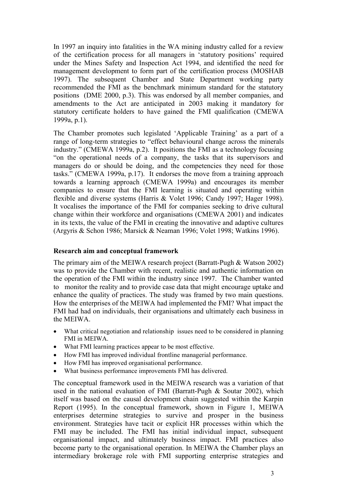In 1997 an inquiry into fatalities in the WA mining industry called for a review of the certification process for all managers in 'statutory positions' required under the Mines Safety and Inspection Act 1994, and identified the need for management development to form part of the certification process (MOSHAB 1997). The subsequent Chamber and State Department working party recommended the FMI as the benchmark minimum standard for the statutory positions (DME 2000, p.3). This was endorsed by all member companies, and amendments to the Act are anticipated in 2003 making it mandatory for statutory certificate holders to have gained the FMI qualification (CMEWA 1999a, p.1).

The Chamber promotes such legislated 'Applicable Training' as a part of a range of long-term strategies to "effect behavioural change across the minerals industry." (CMEWA 1999a, p.2). It positions the FMI as a technology focusing "on the operational needs of a company, the tasks that its supervisors and managers do or should be doing, and the competencies they need for those tasks." (CMEWA 1999a, p.17). It endorses the move from a training approach towards a learning approach (CMEWA 1999a) and encourages its member companies to ensure that the FMI learning is situated and operating within flexible and diverse systems (Harris & Volet 1996; Candy 1997; Hager 1998). It vocalises the importance of the FMI for companies seeking to drive cultural change within their workforce and organisations (CMEWA 2001) and indicates in its texts, the value of the FMI in creating the innovative and adaptive cultures (Argyris & Schon 1986; Marsick & Neaman 1996; Volet 1998; Watkins 1996).

## **Research aim and conceptual framework**

The primary aim of the MEIWA research project (Barratt-Pugh & Watson 2002) was to provide the Chamber with recent, realistic and authentic information on the operation of the FMI within the industry since 1997. The Chamber wanted to monitor the reality and to provide case data that might encourage uptake and enhance the quality of practices. The study was framed by two main questions. How the enterprises of the MEIWA had implemented the FMI? What impact the FMI had had on individuals, their organisations and ultimately each business in the MEIWA.

- What critical negotiation and relationship issues need to be considered in planning FMI in MEIWA.
- What FMI learning practices appear to be most effective.
- How FMI has improved individual frontline managerial performance.
- How FMI has improved organisational performance.
- What business performance improvements FMI has delivered.

The conceptual framework used in the MEIWA research was a variation of that used in the national evaluation of FMI (Barratt-Pugh & Soutar 2002), which itself was based on the causal development chain suggested within the Karpin Report (1995). In the conceptual framework, shown in Figure 1, MEIWA enterprises determine strategies to survive and prosper in the business environment. Strategies have tacit or explicit HR processes within which the FMI may be included. The FMI has initial individual impact, subsequent organisational impact, and ultimately business impact. FMI practices also become party to the organisational operation. In MEIWA the Chamber plays an intermediary brokerage role with FMI supporting enterprise strategies and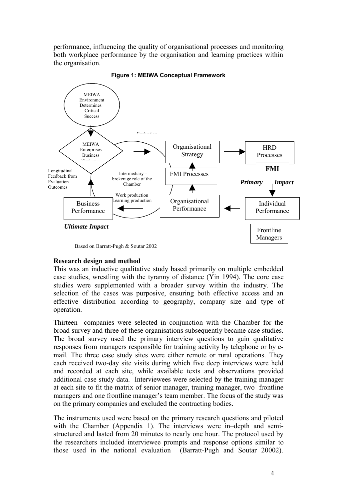performance, influencing the quality of organisational processes and monitoring both workplace performance by the organisation and learning practices within the organisation.



**Figure 1: MEIWA Conceptual Framework**

**Research design and method**

This was an inductive qualitative study based primarily on multiple embedded case studies, wrestling with the tyranny of distance (Yin 1994). The core case studies were supplemented with a broader survey within the industry. The selection of the cases was purposive, ensuring both effective access and an effective distribution according to geography, company size and type of operation.

Thirteen companies were selected in conjunction with the Chamber for the broad survey and three of these organisations subsequently became case studies. The broad survey used the primary interview questions to gain qualitative responses from managers responsible for training activity by telephone or by email. The three case study sites were either remote or rural operations. They each received two-day site visits during which five deep interviews were held and recorded at each site, while available texts and observations provided additional case study data. Interviewees were selected by the training manager at each site to fit the matrix of senior manager, training manager, two frontline managers and one frontline manager's team member. The focus of the study was on the primary companies and excluded the contracting bodies.

The instruments used were based on the primary research questions and piloted with the Chamber (Appendix 1). The interviews were in–depth and semistructured and lasted from 20 minutes to nearly one hour. The protocol used by the researchers included interviewee prompts and response options similar to those used in the national evaluation (Barratt-Pugh and Soutar 20002).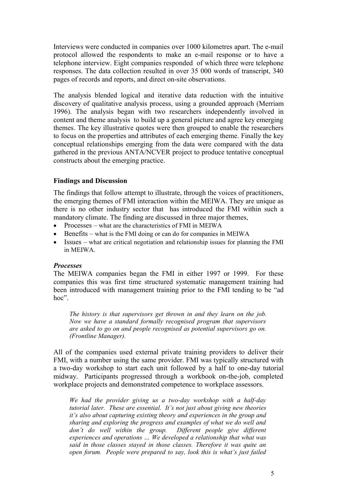Interviews were conducted in companies over 1000 kilometres apart. The e-mail protocol allowed the respondents to make an e-mail response or to have a telephone interview. Eight companies responded of which three were telephone responses. The data collection resulted in over 35 000 words of transcript, 340 pages of records and reports, and direct on-site observations.

The analysis blended logical and iterative data reduction with the intuitive discovery of qualitative analysis process, using a grounded approach (Merriam 1996). The analysis began with two researchers independently involved in content and theme analysis to build up a general picture and agree key emerging themes. The key illustrative quotes were then grouped to enable the researchers to focus on the properties and attributes of each emerging theme. Finally the key conceptual relationships emerging from the data were compared with the data gathered in the previous ANTA/NCVER project to produce tentative conceptual constructs about the emerging practice.

## **Findings and Discussion**

The findings that follow attempt to illustrate, through the voices of practitioners, the emerging themes of FMI interaction within the MEIWA. They are unique as there is no other industry sector that has introduced the FMI within such a mandatory climate. The finding are discussed in three major themes,

- Processes what are the characteristics of FMI in MEIWA
- $\bullet$  Benefits what is the FMI doing or can do for companies in MEIWA
- Issues what are critical negotiation and relationship issues for planning the FMI in MEIWA.

## *Processes*

The MEIWA companies began the FMI in either 1997 or 1999. For these companies this was first time structured systematic management training had been introduced with management training prior to the FMI tending to be "ad hoc"

*The history is that supervisors get thrown in and they learn on the job. Now we have a standard formally recognised program that supervisors are asked to go on and people recognised as potential supervisors go on. (Frontline Manager).*

All of the companies used external private training providers to deliver their FMI, with a number using the same provider. FMI was typically structured with a two-day workshop to start each unit followed by a half to one-day tutorial midway. Participants progressed through a workbook on-the-job, completed workplace projects and demonstrated competence to workplace assessors.

*We had the provider giving us a two-day workshop with a half-day tutorial later. These are essential. It's not just about giving new theories it's also about capturing existing theory and experiences in the group and sharing and exploring the progress and examples of what we do well and don't do well within the group. Different people give different experiences and operations … We developed a relationship that what was said in those classes stayed in those classes. Therefore it was quite an open forum. People were prepared to say, look this is what's just failed*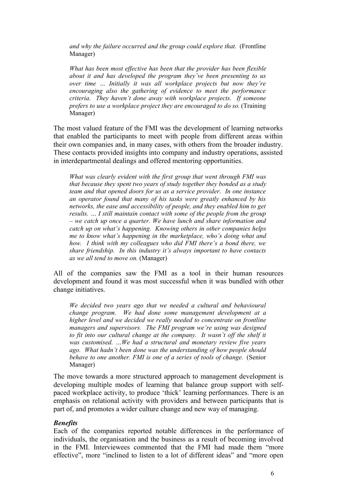*and why the failure occurred and the group could explore that.* (Frontline Manager)

*What has been most effective has been that the provider has been flexible about it and has developed the program they've been presenting to us over time … Initially it was all workplace projects but now they're encouraging also the gathering of evidence to meet the performance criteria. They haven't done away with workplace projects. If someone prefers to use a workplace project they are encouraged to do so.* (Training Manager)

The most valued feature of the FMI was the development of learning networks that enabled the participants to meet with people from different areas within their own companies and, in many cases, with others from the broader industry. These contacts provided insights into company and industry operations, assisted in interdepartmental dealings and offered mentoring opportunities.

*What was clearly evident with the first group that went through FMI was that because they spent two years of study together they bonded as a study team and that opened doors for us as a service provider. In one instance an operator found that many of his tasks were greatly enhanced by his networks, the ease and accessibility of people, and they enabled him to get results. … I still maintain contact with some of the people from the group – we catch up once a quarter. We have lunch and share information and catch up on what's happening. Knowing others in other companies helps me to know what's happening in the marketplace, who's doing what and how. I think with my colleagues who did FMI there's a bond there, we share friendship. In this industry it's always important to have contacts as we all tend to move on.* (Manager)

All of the companies saw the FMI as a tool in their human resources development and found it was most successful when it was bundled with other change initiatives.

*We decided two years ago that we needed a cultural and behavioural change program. We had done some management development at a higher level and we decided we really needed to concentrate on frontline managers and supervisors. The FMI program we're using was designed to fit into our cultural change at the company. It wasn't off the shelf it was customised. …We had a structural and monetary review five years ago. What hadn't been done was the understanding of how people should behave to one another. FMI is one of a series of tools of change.* (Senior Manager)

The move towards a more structured approach to management development is developing multiple modes of learning that balance group support with selfpaced workplace activity, to produce 'thick' learning performances. There is an emphasis on relational activity with providers and between participants that is part of, and promotes a wider culture change and new way of managing.

## *Benefits*

Each of the companies reported notable differences in the performance of individuals, the organisation and the business as a result of becoming involved in the FMI. Interviewees commented that the FMI had made them "more effective", more "inclined to listen to a lot of different ideas" and "more open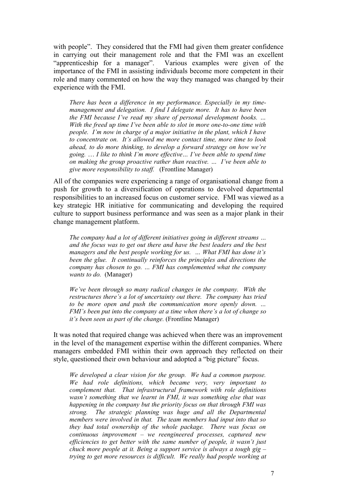with people". They considered that the FMI had given them greater confidence in carrying out their management role and that the FMI was an excellent "apprenticeship for a manager". Various examples were given of the Various examples were given of the importance of the FMI in assisting individuals become more competent in their role and many commented on how the way they managed was changed by their experience with the FMI.

*There has been a difference in my performance. Especially in my timemanagement and delegation. I find I delegate more. It has to have been the FMI because I've read my share of personal development books. … With the freed up time I've been able to slot in more one-to-one time with people. I'm now in charge of a major initiative in the plant, which I have to concentrate on. It's allowed me more contact time, more time to look ahead, to do more thinking, to develop a forward strategy on how we're going.* … *I like to think I'm more effective… I've been able to spend time on making the group proactive rather than reactive. … I've been able to give more responsibility to staff.* (Frontline Manager)

All of the companies were experiencing a range of organisational change from a push for growth to a diversification of operations to devolved departmental responsibilities to an increased focus on customer service. FMI was viewed as a key strategic HR initiative for communicating and developing the required culture to support business performance and was seen as a major plank in their change management platform.

*The company had a lot of different initiatives going in different streams … and the focus was to get out there and have the best leaders and the best managers and the best people working for us. … What FMI has done it's been the glue. It continually reinforces the principles and directions the company has chosen to go. … FMI has complemented what the company wants to do.* (Manager)

*We've been through so many radical changes in the company. With the restructures there's a lot of uncertainty out there. The company has tried to be more open and push the communication more openly down. … FMI's been put into the company at a time when there's a lot of change so it's been seen as part of the change.* (Frontline Manager)

It was noted that required change was achieved when there was an improvement in the level of the management expertise within the different companies. Where managers embedded FMI within their own approach they reflected on their style, questioned their own behaviour and adopted a "big picture" focus.

*We developed a clear vision for the group. We had a common purpose. We had role definitions, which became very, very important to complement that. That infrastructural framework with role definitions wasn't something that we learnt in FMI, it was something else that was happening in the company but the priority focus on that through FMI was strong. The strategic planning was huge and all the Departmental members were involved in that. The team members had input into that so they had total ownership of the whole package. There was focus on continuous improvement – we reengineered processes, captured new efficiencies to get better with the same number of people, it wasn't just chuck more people at it. Being a support service is always a tough gig – trying to get more resources is difficult. We really had people working at*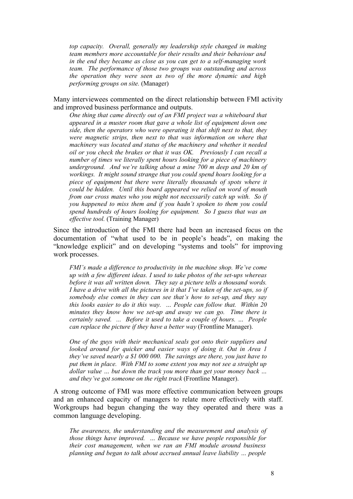*top capacity. Overall, generally my leadership style changed in making team members more accountable for their results and their behaviour and in the end they became as close as you can get to a self-managing work team. The performance of those two groups was outstanding and across the operation they were seen as two of the more dynamic and high performing groups on site.* (Manager)

Many interviewees commented on the direct relationship between FMI activity and improved business performance and outputs.

*One thing that came directly out of an FMI project was a whiteboard that appeared in a muster room that gave a whole list of equipment down one side, then the operators who were operating it that shift next to that, they were magnetic strips, then next to that was information on where that machinery was located and status of the machinery and whether it needed oil or you check the brakes or that it was OK. Previously I can recall a number of times we literally spent hours looking for a piece of machinery underground. And we're talking about a mine 700 m deep and 20 km of workings. It might sound strange that you could spend hours looking for a piece of equipment but there were literally thousands of spots where it could be hidden. Until this board appeared we relied on word of mouth from our cross mates who you might not necessarily catch up with. So if you happened to miss them and if you hadn't spoken to them you could spend hundreds of hours looking for equipment. So I guess that was an effective tool.* (Training Manager)

Since the introduction of the FMI there had been an increased focus on the documentation of "what used to be in people's heads", on making the "knowledge explicit" and on developing "systems and tools" for improving work processes.

*FMI's made a difference to productivity in the machine shop. We've come up with a few different ideas. I used to take photos of the set-ups whereas before it was all written down. They say a picture tells a thousand words. I have a drive with all the pictures in it that I've taken of the set-ups, so if somebody else comes in they can see that's how to set-up, and they say this looks easier to do it this way. … People can follow that. Within 20 minutes they know how we set-up and away we can go. Time there is certainly saved. ... Before it used to take a couple of hours. … People can replace the picture if they have a better way* (Frontline Manager).

*One of the guys with their mechanical seals got onto their suppliers and looked around for quicker and easier ways of doing it. Out in Area 1 they've saved nearly a \$1 000 000. The savings are there, you just have to put them in place. With FMI to some extent you may not see a straight up dollar value … but down the track you more than get your money back … and they've got someone on the right track* (Frontline Manager).

A strong outcome of FMI was more effective communication between groups and an enhanced capacity of managers to relate more effectively with staff. Workgroups had begun changing the way they operated and there was a common language developing.

*The awareness, the understanding and the measurement and analysis of those things have improved. … Because we have people responsible for their cost management, when we ran an FMI module around business planning and began to talk about accrued annual leave liability … people*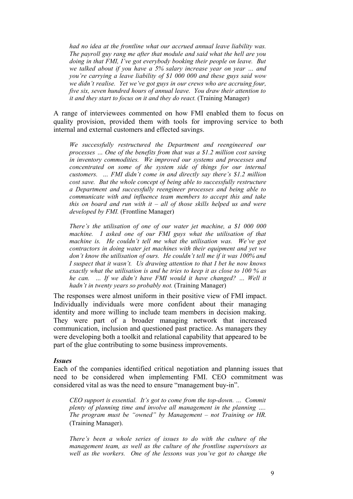*had no idea at the frontline what our accrued annual leave liability was. The payroll guy rang me after that module and said what the hell are you doing in that FMI, I've got everybody booking their people on leave. But we talked about if you have a 5% salary increase year on year … and you're carrying a leave liability of \$1 000 000 and these guys said wow we didn't realise. Yet we've got guys in our crews who are accruing four, five six, seven hundred hours of annual leave. You draw their attention to it and they start to focus on it and they do react.* (Training Manager)

A range of interviewees commented on how FMI enabled them to focus on quality provision, provided them with tools for improving service to both internal and external customers and effected savings.

*We successfully restructured the Department and reengineered our processes … One of the benefits from that was a \$1.2 million cost saving in inventory commodities. We improved our systems and processes and concentrated on some of the system side of things for our internal customers. … FMI didn't come in and directly say there's \$1.2 million cost save. But the whole concept of being able to successfully restructure a Department and successfully reengineer processes and being able to communicate with and influence team members to accept this and take this on board and run with it – all of those skills helped us and were developed by FMI.* (Frontline Manager)

*There's the utilisation of one of our water jet machine, a \$1 000 000 machine. I asked one of our FMI guys what the utilisation of that machine is. He couldn't tell me what the utilisation was. We've got contractors in doing water jet machines with their equipment and yet we don't know the utilisation of ours. He couldn't tell me if it was 100% and I suspect that it wasn't. Us drawing attention to that I bet he now knows exactly what the utilisation is and he tries to keep it as close to 100 % as he can. … If we didn't have FMI would it have changed? … Well it hadn't in twenty years so probably not.* (Training Manager)

The responses were almost uniform in their positive view of FMI impact. Individually individuals were more confident about their managing identity and more willing to include team members in decision making. They were part of a broader managing network that increased communication, inclusion and questioned past practice. As managers they were developing both a toolkit and relational capability that appeared to be part of the glue contributing to some business improvements.

#### *Issues*

Each of the companies identified critical negotiation and planning issues that need to be considered when implementing FMI. CEO commitment was considered vital as was the need to ensure "management buy-in".

*CEO support is essential. It's got to come from the top-down. … Commit plenty of planning time and involve all management in the planning …. The program must be "owned" by Management – not Training or HR.* (Training Manager).

*There's been a whole series of issues to do with the culture of the management team, as well as the culture of the frontline supervisors as well as the workers. One of the lessons was you've got to change the*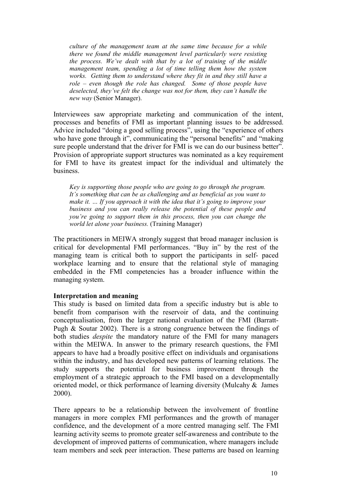*culture of the management team at the same time because for a while there we found the middle management level particularly were resisting the process. We've dealt with that by a lot of training of the middle management team, spending a lot of time telling them how the system works. Getting them to understand where they fit in and they still have a role – even though the role has changed. Some of those people have deselected, they've felt the change was not for them, they can't handle the new way* (Senior Manager).

Interviewees saw appropriate marketing and communication of the intent, processes and benefits of FMI as important planning issues to be addressed. Advice included "doing a good selling process", using the "experience of others who have gone through it", communicating the "personal benefits" and "making" sure people understand that the driver for FMI is we can do our business better". Provision of appropriate support structures was nominated as a key requirement for FMI to have its greatest impact for the individual and ultimately the business.

*Key is supporting those people who are going to go through the program. It's something that can be as challenging and as beneficial as you want to make it. … If you approach it with the idea that it's going to improve your business and you can really release the potential of these people and you're going to support them in this process, then you can change the world let alone your business.* (Training Manager)

The practitioners in MEIWA strongly suggest that broad manager inclusion is critical for developmental FMI performances. "Buy in" by the rest of the managing team is critical both to support the participants in self- paced workplace learning and to ensure that the relational style of managing embedded in the FMI competencies has a broader influence within the managing system.

## **Interpretation and meaning**

This study is based on limited data from a specific industry but is able to benefit from comparison with the reservoir of data, and the continuing conceptualisation, from the larger national evaluation of the FMI (Barratt-Pugh & Soutar 2002). There is a strong congruence between the findings of both studies *despite* the mandatory nature of the FMI for many managers within the MEIWA. In answer to the primary research questions, the FMI appears to have had a broadly positive effect on individuals and organisations within the industry, and has developed new patterns of learning relations. The study supports the potential for business improvement through the employment of a strategic approach to the FMI based on a developmentally oriented model, or thick performance of learning diversity (Mulcahy & James 2000).

There appears to be a relationship between the involvement of frontline managers in more complex FMI performances and the growth of manager confidence, and the development of a more centred managing self. The FMI learning activity seems to promote greater self-awareness and contribute to the development of improved patterns of communication, where managers include team members and seek peer interaction. These patterns are based on learning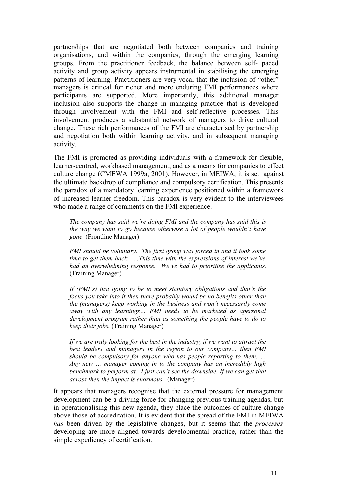partnerships that are negotiated both between companies and training organisations, and within the companies, through the emerging learning groups. From the practitioner feedback, the balance between self- paced activity and group activity appears instrumental in stabilising the emerging patterns of learning. Practitioners are very vocal that the inclusion of "other" managers is critical for richer and more enduring FMI performances where participants are supported. More importantly, this additional manager inclusion also supports the change in managing practice that is developed through involvement with the FMI and self-reflective processes. This involvement produces a substantial network of managers to drive cultural change. These rich performances of the FMI are characterised by partnership and negotiation both within learning activity, and in subsequent managing activity.

The FMI is promoted as providing individuals with a framework for flexible, learner-centred, workbased management, and as a means for companies to effect culture change (CMEWA 1999a, 2001). However, in MEIWA, it is set against the ultimate backdrop of compliance and compulsory certification. This presents the paradox of a mandatory learning experience positioned within a framework of increased learner freedom. This paradox is very evident to the interviewees who made a range of comments on the FMI experience.

*The company has said we're doing FMI and the company has said this is the way we want to go because otherwise a lot of people wouldn't have gone* (Frontline Manager)

*FMI should be voluntary. The first group was forced in and it took some time to get them back. …This time with the expressions of interest we've had an overwhelming response. We've had to prioritise the applicants.* (Training Manager)

*If (FMI's) just going to be to meet statutory obligations and that's the focus you take into it then there probably would be no benefits other than the (managers) keep working in the business and won't necessarily come away with any learnings… FMI needs to be marketed as apersonal development program rather than as something the people have to do to keep their jobs.* (Training Manager)

*If we are truly looking for the best in the industry, if we want to attract the best leaders and managers in the region to our company… then FMI should be compulsory for anyone who has people reporting to them. … Any new … manager coming in to the company has an incredibly high benchmark to perform at. I just can't see the downside. If we can get that across then the impact is enormous.* (Manager)

It appears that managers recognise that the external pressure for management development can be a driving force for changing previous training agendas, but in operationalising this new agenda, they place the outcomes of culture change above those of accreditation. It is evident that the spread of the FMI in MEIWA *has* been driven by the legislative changes, but it seems that the *processes* developing are more aligned towards developmental practice, rather than the simple expediency of certification.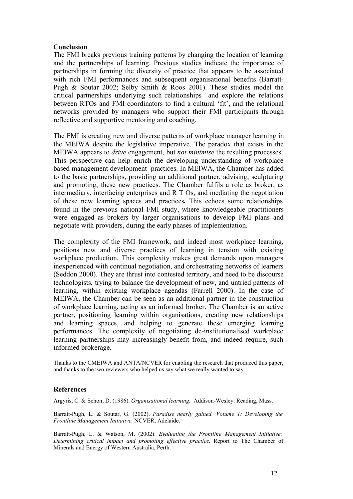#### **Conclusion**

The FMI breaks previous training patterns by changing the location of learning and the partnerships of learning. Previous studies indicate the importance of partnerships in forming the diversity of practice that appears to be associated with rich FMI performances and subsequent organisational benefits (Barratt-Pugh & Soutar 2002; Selby Smith & Roos 2001). These studies model the critical partnerships underlying such relationships and explore the relations between RTOs and FMI coordinators to find a cultural 'fit', and the relational networks provided by managers who support their FMI participants through reflective and supportive mentoring and coaching.

The FMI is creating new and diverse patterns of workplace manager learning in the MEIWA despite the legislative imperative. The paradox that exists in the MEIWA appears to *drive* engagement, but *not minimise* the resulting processes. This perspective can help enrich the developing understanding of workplace based management development practices. In MEIWA, the Chamber has added to the basic partnerships, providing an additional partner, advising, sculpturing and promoting, these new practices. The Chamber fulfils a role as broker, as intermediary, interfacing enterprises and R T Os, and mediating the negotiation of these new learning spaces and practices**.** This echoes some relationships found in the previous national FMI study, where knowledgeable practitioners were engaged as brokers by larger organisations to develop FMI plans and negotiate with providers, during the early phases of implementation.

The complexity of the FMI framework, and indeed most workplace learning, positions new and diverse practices of learning in tension with existing workplace production. This complexity makes great demands upon managers inexperienced with continual negotiation, and orchestrating networks of learners (Seddon 2000). They are thrust into contested territory, and need to be discourse technologists, trying to balance the development of new, and untried patterns of learning, within existing workplace agendas (Farrell 2000). In the case of MEIWA, the Chamber can be seen as an additional partner in the construction of workplace learning, acting as an informed broker. The Chamber is an active partner, positioning learning within organisations, creating new relationships and learning spaces, and helping to generate these emerging learning performances. The complexity of negotiating de-institutionalised workplace learning partnerships may increasingly benefit from, and indeed require, such informed brokerage.

Thanks to the CMEIWA and ANTA/NCVER for enabling the research that produced this paper, and thanks to the two reviewers who helped us say what we really wanted to say.

#### **References**

Argyris, C. & Schon, D. (1986). *Organisational learning.* Addison-Wesley. Reading, Mass.

Barratt-Pugh, L. & Soutar, G. (2002). *Paradise nearly gained. Volume 1: Developing the Frontline Management Initiative.* NCVER, Adelaide.

Barratt-Pugh, L. & Watson, M. (2002). *Evaluating the Frontline Management Initiative: Determining critical impact and promoting effective practice.* Report to The Chamber of Minerals and Energy of Western Australia, Perth.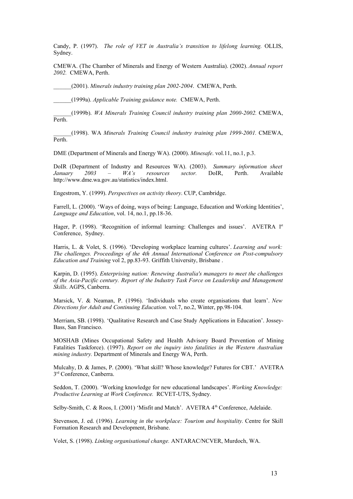Candy, P. (1997). *The role of VET in Australia's transition to lifelong learning.* OLLIS, Sydney.

CMEWA. (The Chamber of Minerals and Energy of Western Australia). (2002). *Annual report 2002.* CMEWA, Perth.

\_\_\_\_\_\_(2001). *Minerals industry training plan 2002-2004*. CMEWA, Perth.

\_\_\_\_\_\_(1999a). *Applicable Training guidance note.* CMEWA, Perth.

\_\_\_\_\_\_(1999b). *WA Minerals Training Council industry training plan 2000-2002.* CMEWA, Perth.

\_\_\_\_\_\_(1998). WA *Minerals Training Council industry training plan 1999-2001.* CMEWA, Perth.

DME (Department of Minerals and Energy WA). (2000). *Minesafe*. vol.11, no.1, p.3.

DoIR (Department of Industry and Resources WA). (2003). *Summary information sheet January 2003 – WA's resources sector.* DoIR, Perth. Available http://www.dme.wa.gov.au/statistics/index.html.

Engestrom, Y. (1999). *Perspectives on activity theory*. CUP, Cambridge.

Farrell, L. (2000). 'Ways of doing, ways of being: Language, Education and Working Identities', *Language and Education*, vol. 14, no.1, pp.18-36.

Hager, P. (1998). 'Recognition of informal learning: Challenges and issues'. AVETRA 1<sup>st</sup> Conference, Sydney.

Harris, L. & Volet, S. (1996). 'Developing workplace learning cultures'. *Learning and work: The challenges. Proceedings of the 4th Annual International Conference on Post-compulsory Education and Training* vol 2, pp.83-93. Griffith University, Brisbane .

Karpin, D. (1995). *Enterprising nation: Renewing Australia's managers to meet the challenges of the Asia-Pacific century. Report of the Industry Task Force on Leadership and Management Skills*. AGPS, Canberra.

Marsick, V. & Neaman, P. (1996). 'Individuals who create organisations that learn'. *New Directions for Adult and Continuing Education.* vol.7, no.2, Winter, pp.98-104.

Merriam, SB. (1998). 'Qualitative Research and Case Study Applications in Education'. Jossey-Bass, San Francisco.

MOSHAB (Mines Occupational Safety and Health Advisory Board Prevention of Mining Fatalities Taskforce). (1997). *Report on the inquiry into fatalities in the Western Australian mining industry.* Department of Minerals and Energy WA, Perth.

Mulcahy, D. & James, P. (2000). 'What skill? Whose knowledge? Futures for CBT.' AVETRA 3<sup>rd</sup> Conference, Canberra.

Seddon, T. (2000). 'Working knowledge for new educational landscapes'. *Working Knowledge: Productive Learning at Work Conference.* RCVET-UTS, Sydney.

Selby-Smith, C. & Roos, I. (2001) 'Misfit and Match'. AVETRA 4<sup>th</sup> Conference, Adelaide.

Stevenson, J. ed. (1996). *Learning in the workplace: Tourism and hospitality.* Centre for Skill Formation Research and Development, Brisbane.

Volet, S. (1998). *Linking organisational change.* ANTARAC/NCVER, Murdoch, WA.